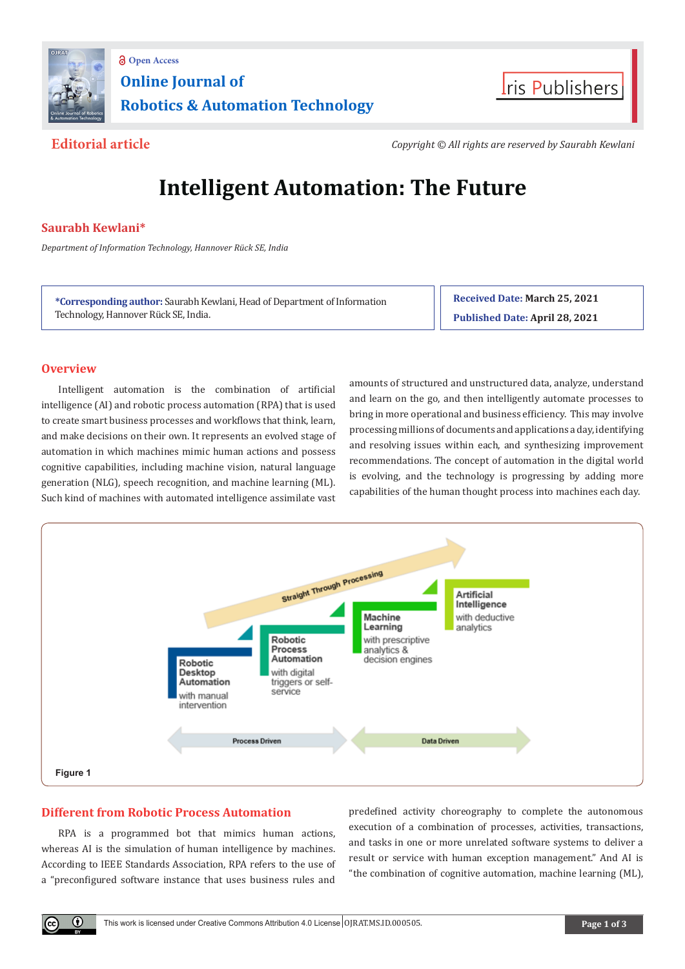

## **Online Journal of Robotics & Automation Technology Open Access**



**Editorial article** *Copyright © All rights are reserved by Saurabh Kewlani*

# **Intelligent Automation: The Future**

### **Saurabh Kewlani\***

*Department of Information Technology, Hannover Rück SE, India*

**\*Corresponding author:** Saurabh Kewlani, Head of Department of Information Technology, Hannover Rück SE, India.

**Received Date: March 25, 2021 Published Date: April 28, 2021**

#### **Overview**

Intelligent automation is the combination of artificial intelligence (AI) and robotic process automation (RPA) that is used to create smart business processes and workflows that think, learn, and make decisions on their own. It represents an evolved stage of automation in which machines mimic human actions and possess cognitive capabilities, including machine vision, natural language generation (NLG), speech recognition, and machine learning (ML). Such kind of machines with automated intelligence assimilate vast amounts of structured and unstructured data, analyze, understand and learn on the go, and then intelligently automate processes to bring in more operational and business efficiency. This may involve processing millions of documents and applications a day, identifying and resolving issues within each, and synthesizing improvement recommendations. The concept of automation in the digital world is evolving, and the technology is progressing by adding more capabilities of the human thought process into machines each day.



#### **Different from Robotic Process Automation**

Œ

RPA is a programmed bot that mimics human actions, whereas AI is the simulation of human intelligence by machines. According to IEEE Standards Association, RPA refers to the use of a "preconfigured software instance that uses business rules and

predefined activity choreography to complete the autonomous execution of a combination of processes, activities, transactions, and tasks in one or more unrelated software systems to deliver a result or service with human exception management." And AI is "the combination of cognitive automation, machine learning (ML),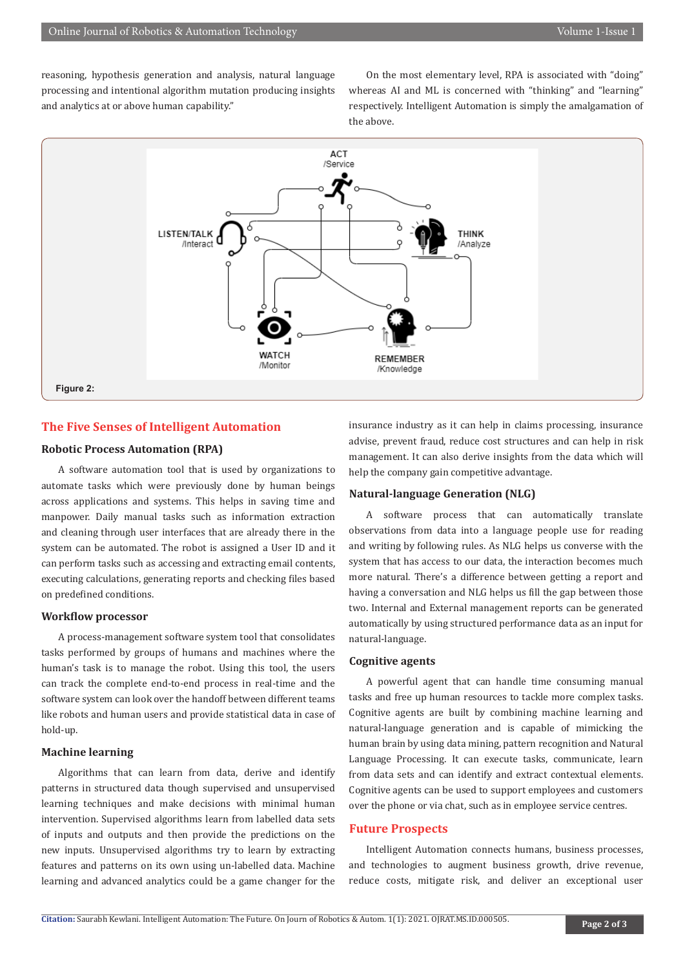reasoning, hypothesis generation and analysis, natural language processing and intentional algorithm mutation producing insights and analytics at or above human capability."

On the most elementary level, RPA is associated with "doing" whereas AI and ML is concerned with "thinking" and "learning" respectively. Intelligent Automation is simply the amalgamation of the above.



#### **The Five Senses of Intelligent Automation**

#### **Robotic Process Automation (RPA)**

A software automation tool that is used by organizations to automate tasks which were previously done by human beings across applications and systems. This helps in saving time and manpower. Daily manual tasks such as information extraction and cleaning through user interfaces that are already there in the system can be automated. The robot is assigned a User ID and it can perform tasks such as accessing and extracting email contents, executing calculations, generating reports and checking files based on predefined conditions.

#### **Workflow processor**

A process-management software system tool that consolidates tasks performed by groups of humans and machines where the human's task is to manage the robot. Using this tool, the users can track the complete end-to-end process in real-time and the software system can look over the handoff between different teams like robots and human users and provide statistical data in case of hold-up.

#### **Machine learning**

Algorithms that can learn from data, derive and identify patterns in structured data though supervised and unsupervised learning techniques and make decisions with minimal human intervention. Supervised algorithms learn from labelled data sets of inputs and outputs and then provide the predictions on the new inputs. Unsupervised algorithms try to learn by extracting features and patterns on its own using un-labelled data. Machine learning and advanced analytics could be a game changer for the

insurance industry as it can help in claims processing, insurance advise, prevent fraud, reduce cost structures and can help in risk management. It can also derive insights from the data which will help the company gain competitive advantage.

#### **Natural-language Generation (NLG)**

A software process that can automatically translate observations from data into a language people use for reading and writing by following rules. As NLG helps us converse with the system that has access to our data, the interaction becomes much more natural. There's a difference between getting a report and having a conversation and NLG helps us fill the gap between those two. Internal and External management reports can be generated automatically by using structured performance data as an input for natural-language.

#### **Cognitive agents**

A powerful agent that can handle time consuming manual tasks and free up human resources to tackle more complex tasks. Cognitive agents are built by combining machine learning and natural-language generation and is capable of mimicking the human brain by using data mining, pattern recognition and Natural Language Processing. It can execute tasks, communicate, learn from data sets and can identify and extract contextual elements. Cognitive agents can be used to support employees and customers over the phone or via chat, such as in employee service centres.

#### **Future Prospects**

Intelligent Automation connects humans, business processes, and technologies to augment business growth, drive revenue, reduce costs, mitigate risk, and deliver an exceptional user